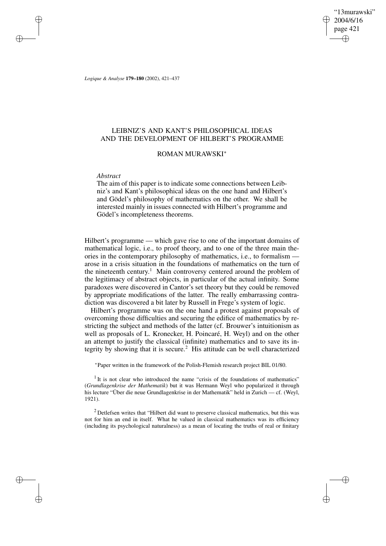"13murawski" 2004/6/16 page 421 ✐ ✐

✐

✐

*Logique & Analyse* **179–180** (2002), 421–437

# LEIBNIZ'S AND KANT'S PHILOSOPHICAL IDEAS AND THE DEVELOPMENT OF HILBERT'S PROGRAMME

### ROMAN MURAWSKI<sup>∗</sup>

#### *Abstract*

✐

✐

✐

✐

The aim of this paper is to indicate some connections between Leibniz's and Kant's philosophical ideas on the one hand and Hilbert's and Gödel's philosophy of mathematics on the other. We shall be interested mainly in issues connected with Hilbert's programme and Gödel's incompleteness theorems.

Hilbert's programme — which gave rise to one of the important domains of mathematical logic, i.e., to proof theory, and to one of the three main theories in the contemporary philosophy of mathematics, i.e., to formalism arose in a crisis situation in the foundations of mathematics on the turn of the nineteenth century.<sup>1</sup> Main controversy centered around the problem of the legitimacy of abstract objects, in particular of the actual infinity. Some paradoxes were discovered in Cantor's set theory but they could be removed by appropriate modifications of the latter. The really embarrassing contradiction was discovered a bit later by Russell in Frege's system of logic.

Hilbert's programme was on the one hand a protest against proposals of overcoming those difficulties and securing the edifice of mathematics by restricting the subject and methods of the latter (cf. Brouwer's intuitionism as well as proposals of L. Kronecker, H. Poincaré, H. Weyl) and on the other an attempt to justify the classical (infinite) mathematics and to save its integrity by showing that it is secure.<sup>2</sup> His attitude can be well characterized

∗ Paper written in the framework of the Polish-Flemish research project BIL 01/80.

<sup>1</sup>It is not clear who introduced the name "crisis of the foundations of mathematics" (*Grundlagenkrise der Mathematik*) but it was Hermann Weyl who popularized it through his lecture "Über die neue Grundlagenkrise in der Mathematik" held in Zurich — cf. (Weyl, 1921).

<sup>2</sup> Detlefsen writes that "Hilbert did want to preserve classical mathematics, but this was not for him an end in itself. What he valued in classical mathematics was its efficiency (including its psychological naturalness) as a mean of locating the truths of real or finitary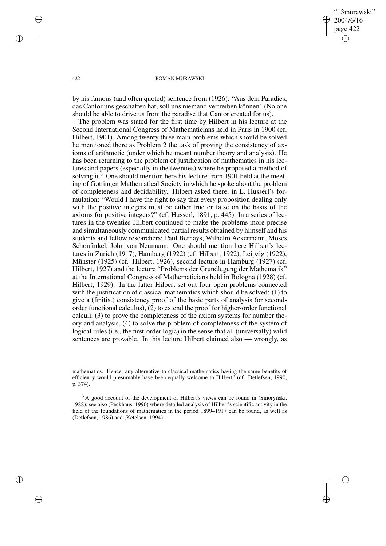"13murawski" 2004/6/16 page 422 ✐ ✐

✐

✐

#### 422 ROMAN MURAWSKI

by his famous (and often quoted) sentence from (1926): "Aus dem Paradies, das Cantor uns geschaffen hat, soll uns niemand vertreiben können" (No one should be able to drive us from the paradise that Cantor created for us).

The problem was stated for the first time by Hilbert in his lecture at the Second International Congress of Mathematicians held in Paris in 1900 (cf. Hilbert, 1901). Among twenty three main problems which should be solved he mentioned there as Problem 2 the task of proving the consistency of axioms of arithmetic (under which he meant number theory and analysis). He has been returning to the problem of justification of mathematics in his lectures and papers (especially in the twenties) where he proposed a method of solving it.<sup>3</sup> One should mention here his lecture from 1901 held at the meeting of Göttingen Mathematical Society in which he spoke about the problem of completeness and decidability. Hilbert asked there, in E. Husserl's formulation: "Would I have the right to say that every proposition dealing only with the positive integers must be either true or false on the basis of the axioms for positive integers?" (cf. Husserl, 1891, p. 445). In a series of lectures in the twenties Hilbert continued to make the problems more precise and simultaneously communicated partial results obtained by himself and his students and fellow researchers: Paul Bernays, Wilhelm Ackermann, Moses Schönfinkel, John von Neumann. One should mention here Hilbert's lectures in Zurich (1917), Hamburg (1922) (cf. Hilbert, 1922), Leipzig (1922), Münster (1925) (cf. Hilbert, 1926), second lecture in Hamburg (1927) (cf. Hilbert, 1927) and the lecture "Problems der Grundlegung der Mathematik" at the International Congress of Mathematicians held in Bologna (1928) (cf. Hilbert, 1929). In the latter Hilbert set out four open problems connected with the justification of classical mathematics which should be solved: (1) to give a (finitist) consistency proof of the basic parts of analysis (or secondorder functional calculus), (2) to extend the proof for higher-order functional calculi, (3) to prove the completeness of the axiom systems for number theory and analysis, (4) to solve the problem of completeness of the system of logical rules (i.e., the first-order logic) in the sense that all (universally) valid sentences are provable. In this lecture Hilbert claimed also — wrongly, as

mathematics. Hence, any alternative to classical mathematics having the same benefits of efficiency would presumably have been equally welcome to Hilbert" (cf. Detlefsen, 1990, p. 374).

 $3A$  good account of the development of Hilbert's views can be found in (Smorynski, 1988); see also (Peckhaus, 1990) where detailed analysis of Hilbert's scientific activity in the field of the foundations of mathematics in the period 1899–1917 can be found, as well as (Detlefsen, 1986) and (Ketelsen, 1994).

✐

✐

✐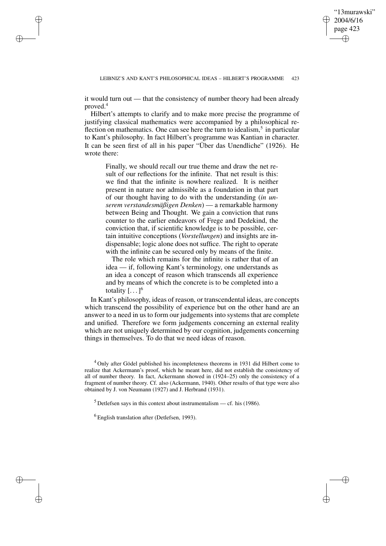✐

#### LEIBNIZ'S AND KANT'S PHILOSOPHICAL IDEAS – HILBERT'S PROGRAMME 423

it would turn out — that the consistency of number theory had been already proved.<sup>4</sup>

✐

✐

✐

✐

Hilbert's attempts to clarify and to make more precise the programme of justifying classical mathematics were accompanied by a philosophical reflection on mathematics. One can see here the turn to idealism,<sup>5</sup> in particular to Kant's philosophy. In fact Hilbert's programme was Kantian in character. It can be seen first of all in his paper "Über das Unendliche" (1926). He wrote there:

> Finally, we should recall our true theme and draw the net result of our reflections for the infinite. That net result is this: we find that the infinite is nowhere realized. It is neither present in nature nor admissible as a foundation in that part of our thought having to do with the understanding (*in unserem verstandesmäßigen Denken*) — a remarkable harmony between Being and Thought. We gain a conviction that runs counter to the earlier endeavors of Frege and Dedekind, the conviction that, if scientific knowledge is to be possible, certain intuitive conceptions (*Vorstellungen*) and insights are indispensable; logic alone does not suffice. The right to operate with the infinite can be secured only by means of the finite.

> The role which remains for the infinite is rather that of an idea — if, following Kant's terminology, one understands as an idea a concept of reason which transcends all experience and by means of which the concrete is to be completed into a totality  $[\dots]^{6}$

In Kant's philosophy, ideas of reason, or transcendental ideas, are concepts which transcend the possibility of experience but on the other hand are an answer to a need in us to form our judgements into systems that are complete and unified. Therefore we form judgements concerning an external reality which are not uniquely determined by our cognition, judgements concerning things in themselves. To do that we need ideas of reason.

<sup>4</sup> Only after Gödel published his incompleteness theorems in 1931 did Hilbert come to realize that Ackermann's proof, which he meant here, did not establish the consistency of all of number theory. In fact, Ackermann showed in (1924–25) only the consistency of a fragment of number theory. Cf. also (Ackermann, 1940). Other results of that type were also obtained by J. von Neumann (1927) and J. Herbrand (1931).

 $5$  Detlefsen says in this context about instrumentalism — cf. his (1986).

<sup>6</sup> English translation after (Detlefsen, 1993).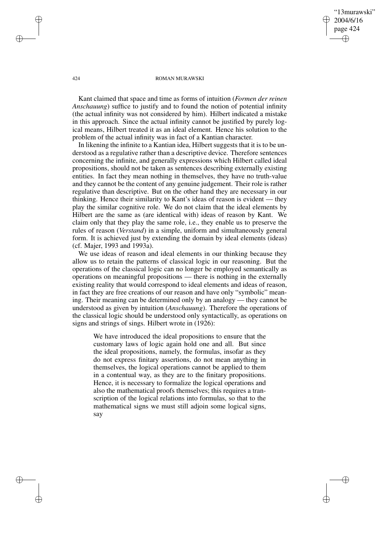"13murawski" 2004/6/16 page 424 ✐ ✐

✐

✐

#### 424 ROMAN MURAWSKI

Kant claimed that space and time as forms of intuition (*Formen der reinen Anschauung*) suffice to justify and to found the notion of potential infinity (the actual infinity was not considered by him). Hilbert indicated a mistake in this approach. Since the actual infinity cannot be justified by purely logical means, Hilbert treated it as an ideal element. Hence his solution to the problem of the actual infinity was in fact of a Kantian character.

In likening the infinite to a Kantian idea, Hilbert suggests that it is to be understood as a regulative rather than a descriptive device. Therefore sentences concerning the infinite, and generally expressions which Hilbert called ideal propositions, should not be taken as sentences describing externally existing entities. In fact they mean nothing in themselves, they have no truth-value and they cannot be the content of any genuine judgement. Their role is rather regulative than descriptive. But on the other hand they are necessary in our thinking. Hence their similarity to Kant's ideas of reason is evident — they play the similar cognitive role. We do not claim that the ideal elements by Hilbert are the same as (are identical with) ideas of reason by Kant. We claim only that they play the same role, i.e., they enable us to preserve the rules of reason (*Verstand*) in a simple, uniform and simultaneously general form. It is achieved just by extending the domain by ideal elements (ideas) (cf. Majer, 1993 and 1993a).

We use ideas of reason and ideal elements in our thinking because they allow us to retain the patterns of classical logic in our reasoning. But the operations of the classical logic can no longer be employed semantically as operations on meaningful propositions — there is nothing in the externally existing reality that would correspond to ideal elements and ideas of reason, in fact they are free creations of our reason and have only "symbolic" meaning. Their meaning can be determined only by an analogy — they cannot be understood as given by intuition (*Anschauung*). Therefore the operations of the classical logic should be understood only syntactically, as operations on signs and strings of sings. Hilbert wrote in (1926):

We have introduced the ideal propositions to ensure that the customary laws of logic again hold one and all. But since the ideal propositions, namely, the formulas, insofar as they do not express finitary assertions, do not mean anything in themselves, the logical operations cannot be applied to them in a contentual way, as they are to the finitary propositions. Hence, it is necessary to formalize the logical operations and also the mathematical proofs themselves; this requires a transcription of the logical relations into formulas, so that to the mathematical signs we must still adjoin some logical signs, say

✐

✐

✐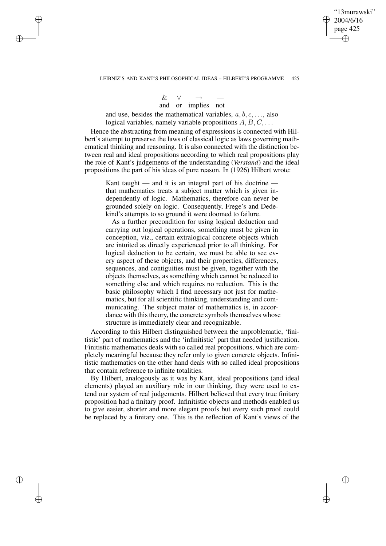✐

#### LEIBNIZ'S AND KANT'S PHILOSOPHICAL IDEAS – HILBERT'S PROGRAMME 425

 $\&\quad \vee\quad \rightarrow$ and or implies not

✐

✐

✐

✐

and use, besides the mathematical variables,  $a, b, c, \ldots$ , also logical variables, namely variable propositions  $A, B, C, \ldots$ 

Hence the abstracting from meaning of expressions is connected with Hilbert's attempt to preserve the laws of classical logic as laws governing mathematical thinking and reasoning. It is also connected with the distinction between real and ideal propositions according to which real propositions play the role of Kant's judgements of the understanding (*Verstand*) and the ideal propositions the part of his ideas of pure reason. In (1926) Hilbert wrote:

Kant taught — and it is an integral part of his doctrine that mathematics treats a subject matter which is given independently of logic. Mathematics, therefore can never be grounded solely on logic. Consequently, Frege's and Dedekind's attempts to so ground it were doomed to failure.

As a further precondition for using logical deduction and carrying out logical operations, something must be given in conception, viz., certain extralogical concrete objects which are intuited as directly experienced prior to all thinking. For logical deduction to be certain, we must be able to see every aspect of these objects, and their properties, differences, sequences, and contiguities must be given, together with the objects themselves, as something which cannot be reduced to something else and which requires no reduction. This is the basic philosophy which I find necessary not just for mathematics, but for all scientific thinking, understanding and communicating. The subject mater of mathematics is, in accordance with this theory, the concrete symbols themselves whose structure is immediately clear and recognizable.

According to this Hilbert distinguished between the unproblematic, 'finitistic' part of mathematics and the 'infinitistic' part that needed justification. Finitistic mathematics deals with so called real propositions, which are completely meaningful because they refer only to given concrete objects. Infinitistic mathematics on the other hand deals with so called ideal propositions that contain reference to infinite totalities.

By Hilbert, analogously as it was by Kant, ideal propositions (and ideal elements) played an auxiliary role in our thinking, they were used to extend our system of real judgements. Hilbert believed that every true finitary proposition had a finitary proof. Infinitistic objects and methods enabled us to give easier, shorter and more elegant proofs but every such proof could be replaced by a finitary one. This is the reflection of Kant's views of the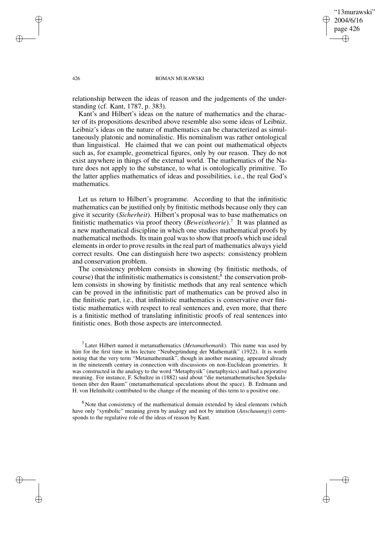✐

#### 426 ROMAN MURAWSKI

relationship between the ideas of reason and the judgements of the understanding (cf. Kant, 1787, p. 383).

Kant's and Hilbert's ideas on the nature of mathematics and the character of its propositions described above resemble also some ideas of Leibniz. Leibniz's ideas on the nature of mathematics can be characterized as simultaneously platonic and nominalistic. His nominalism was rather ontological than linguistical. He claimed that we can point out mathematical objects such as, for example, geometrical figures, only by our reason. They do not exist anywhere in things of the external world. The mathematics of the Nature does not apply to the substance, to what is ontologically primitive. To the latter applies mathematics of ideas and possibilities, i.e., the real God's mathematics.

Let us return to Hilbert's programme. According to that the infinitistic mathematics can be justified only by finitistic methods because only they can give it security (*Sicherheit*). Hilbert's proposal was to base mathematics on finitistic mathematics via proof theory (*Beweistheorie*).<sup>7</sup> It was planned as a new mathematical discipline in which one studies mathematical proofs by mathematical methods. Its main goal wasto show that proofs which use ideal elements in order to prove results in the real part of mathematics always yield correct results. One can distinguish here two aspects: consistency problem and conservation problem.

The consistency problem consists in showing (by finitistic methods, of course) that the infinitistic mathematics is consistent;<sup>8</sup> the conservation problem consists in showing by finitistic methods that any real sentence which can be proved in the infinitistic part of mathematics can be proved also in the finitistic part, i.e., that infinitistic mathematics is conservative over finitistic mathematics with respect to real sentences and, even more, that there is a finitistic method of translating infinitistic proofs of real sentences into finitistic ones. Both those aspects are interconnected.

<sup>7</sup> Later Hilbert named it metamathematics (*Metamathematik*). This name was used by him for the first time in his lecture "Neubegründung der Mathematik" (1922). It is worth noting that the very term "Metamathematik", though in another meaning, appeared already in the nineteenth century in connection with discussions on non-Euclidean geometries. It was constructed in the analogy to the word "Metaphysik" (metaphysics) and had a pejorative meaning. For instance, F. Schultze in (1882) said about "die metamathematischen Spekulationen über den Raum" (metamathematical speculations about the space). B. Erdmann and H. von Helmholtz contributed to the change of the meaning of this term to a positive one.

<sup>8</sup> Note that consistency of the mathematical domain extended by ideal elements (which have only "symbolic" meaning given by analogy and not by intuition (*Anschauung*)) corresponds to the regulative role of the ideas of reason by Kant.

✐

✐

✐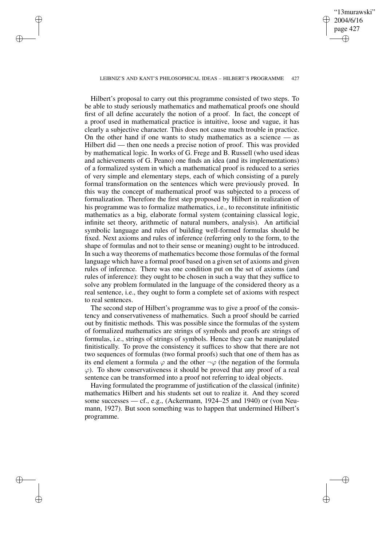# "13murawski" 2004/6/16 page 427 ✐ ✐

✐

✐

#### LEIBNIZ'S AND KANT'S PHILOSOPHICAL IDEAS – HILBERT'S PROGRAMME 427

✐

✐

✐

✐

Hilbert's proposal to carry out this programme consisted of two steps. To be able to study seriously mathematics and mathematical proofs one should first of all define accurately the notion of a proof. In fact, the concept of a proof used in mathematical practice is intuitive, loose and vague, it has clearly a subjective character. This does not cause much trouble in practice. On the other hand if one wants to study mathematics as a science — as Hilbert did — then one needs a precise notion of proof. This was provided by mathematical logic. In works of G. Frege and B. Russell (who used ideas and achievements of G. Peano) one finds an idea (and its implementations) of a formalized system in which a mathematical proof is reduced to a series of very simple and elementary steps, each of which consisting of a purely formal transformation on the sentences which were previously proved. In this way the concept of mathematical proof was subjected to a process of formalization. Therefore the first step proposed by Hilbert in realization of his programme was to formalize mathematics, i.e., to reconstitute infinitistic mathematics as a big, elaborate formal system (containing classical logic, infinite set theory, arithmetic of natural numbers, analysis). An artificial symbolic language and rules of building well-formed formulas should be fixed. Next axioms and rules of inference (referring only to the form, to the shape of formulas and not to their sense or meaning) ought to be introduced. In such a way theorems of mathematics become those formulas of the formal language which have a formal proof based on a given set of axioms and given rules of inference. There was one condition put on the set of axioms (and rules of inference): they ought to be chosen in such a way that they suffice to solve any problem formulated in the language of the considered theory as a real sentence, i.e., they ought to form a complete set of axioms with respect to real sentences.

The second step of Hilbert's programme was to give a proof of the consistency and conservativeness of mathematics. Such a proof should be carried out by finitistic methods. This was possible since the formulas of the system of formalized mathematics are strings of symbols and proofs are strings of formulas, i.e., strings of strings of symbols. Hence they can be manipulated finitistically. To prove the consistency it suffices to show that there are not two sequences of formulas (two formal proofs) such that one of them has as its end element a formula  $\varphi$  and the other  $\neg \varphi$  (the negation of the formula  $\varphi$ ). To show conservativeness it should be proved that any proof of a real sentence can be transformed into a proof not referring to ideal objects.

Having formulated the programme of justification of the classical (infinite) mathematics Hilbert and his students set out to realize it. And they scored some successes — cf., e.g., (Ackermann, 1924–25 and 1940) or (von Neumann, 1927). But soon something was to happen that undermined Hilbert's programme.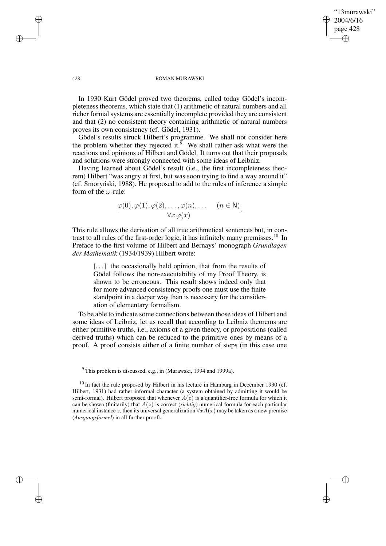# "13murawski" 2004/6/16 page 428 ✐ ✐

✐

✐

#### 428 ROMAN MURAWSKI

In 1930 Kurt Gödel proved two theorems, called today Gödel's incompleteness theorems, which state that (1) arithmetic of natural numbers and all richer formal systems are essentially incomplete provided they are consistent and that (2) no consistent theory containing arithmetic of natural numbers proves its own consistency (cf. Gödel, 1931).

Gödel's results struck Hilbert's programme. We shall not consider here the problem whether they rejected it. $9$  We shall rather ask what were the reactions and opinions of Hilbert and Gödel. It turns out that their proposals and solutions were strongly connected with some ideas of Leibniz.

Having learned about Gödel's result (i.e., the first incompleteness theorem) Hilbert "was angry at first, but was soon trying to find a way around it" (cf. Smoryński, 1988). He proposed to add to the rules of inference a simple form of the  $\omega$ -rule:

$$
\frac{\varphi(0), \varphi(1), \varphi(2), \dots, \varphi(n), \dots \quad (n \in \mathbb{N})}{\forall x \varphi(x)}.
$$

This rule allows the derivation of all true arithmetical sentences but, in contrast to all rules of the first-order logic, it has infinitely many premisses.<sup>10</sup> In Preface to the first volume of Hilbert and Bernays' monograph *Grundlagen der Mathematik* (1934/1939) Hilbert wrote:

[...] the occasionally held opinion, that from the results of Gödel follows the non-executability of my Proof Theory, is shown to be erroneous. This result shows indeed only that for more advanced consistency proofs one must use the finite standpoint in a deeper way than is necessary for the consideration of elementary formalism.

To be able to indicate some connections between those ideas of Hilbert and some ideas of Leibniz, let us recall that according to Leibniz theorems are either primitive truths, i.e., axioms of a given theory, or propositions (called derived truths) which can be reduced to the primitive ones by means of a proof. A proof consists either of a finite number of steps (in this case one

✐

✐

✐

 $9$  This problem is discussed, e.g., in (Murawski, 1994 and 1999a).

 $10$  In fact the rule proposed by Hilbert in his lecture in Hamburg in December 1930 (cf. Hilbert, 1931) had rather informal character (a system obtained by admitting it would be semi-formal). Hilbert proposed that whenever  $A(z)$  is a quantifier-free formula for which it can be shown (finitarily) that  $A(z)$  is correct (*richtig*) numerical formula for each particular numerical instance z, then its universal generalization  $\forall x A(x)$  may be taken as a new premise (*Ausgangsformel*) in all further proofs.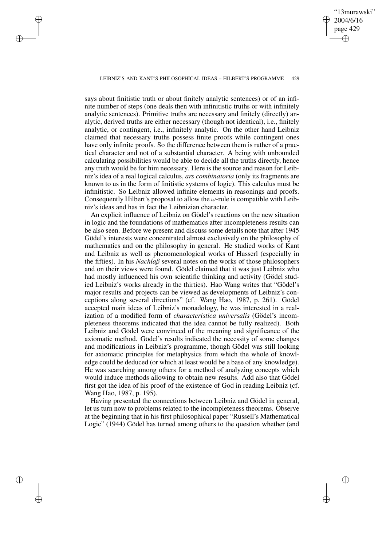✐

#### LEIBNIZ'S AND KANT'S PHILOSOPHICAL IDEAS – HILBERT'S PROGRAMME 429

✐

✐

✐

✐

says about finitistic truth or about finitely analytic sentences) or of an infinite number of steps (one deals then with infinitistic truths or with infinitely analytic sentences). Primitive truths are necessary and finitely (directly) analytic, derived truths are either necessary (though not identical), i.e., finitely analytic, or contingent, i.e., infinitely analytic. On the other hand Leibniz claimed that necessary truths possess finite proofs while contingent ones have only infinite proofs. So the difference between them is rather of a practical character and not of a substantial character. A being with unbounded calculating possibilities would be able to decide all the truths directly, hence any truth would be for him necessary. Here is the source and reason for Leibniz's idea of a real logical calculus, *ars combinatoria* (only its fragments are known to us in the form of finitistic systems of logic). This calculus must be infinitistic. So Leibniz allowed infinite elements in reasonings and proofs. Consequently Hilbert's proposal to allow the  $\omega$ -rule is compatible with Leibniz's ideas and has in fact the Leibnizian character.

An explicit influence of Leibniz on Gödel's reactions on the new situation in logic and the foundations of mathematics after incompleteness results can be also seen. Before we present and discuss some details note that after 1945 Gödel's interests were concentrated almost exclusively on the philosophy of mathematics and on the philosophy in general. He studied works of Kant and Leibniz as well as phenomenological works of Husserl (especially in the fifties). In his *Nachlaß* several notes on the works of those philosophers and on their views were found. Gödel claimed that it was just Leibniz who had mostly influenced his own scientific thinking and activity (Gödel studied Leibniz's works already in the thirties). Hao Wang writes that "Gödel's major results and projects can be viewed as developments of Leibniz's conceptions along several directions" (cf. Wang Hao, 1987, p. 261). Gödel accepted main ideas of Leibniz's monadology, he was interested in a realization of a modified form of *characteristica universalis* (Gödel's incompleteness theorems indicated that the idea cannot be fully realized). Both Leibniz and Gödel were convinced of the meaning and significance of the axiomatic method. Gödel's results indicated the necessity of some changes and modifications in Leibniz's programme, though Gödel was still looking for axiomatic principles for metaphysics from which the whole of knowledge could be deduced (or which at least would be a base of any knowledge). He was searching among others for a method of analyzing concepts which would induce methods allowing to obtain new results. Add also that Gödel first got the idea of his proof of the existence of God in reading Leibniz (cf. Wang Hao, 1987, p. 195).

Having presented the connections between Leibniz and Gödel in general, let us turn now to problems related to the incompleteness theorems. Observe at the beginning that in his first philosophical paper "Russell's Mathematical Logic" (1944) Gödel has turned among others to the question whether (and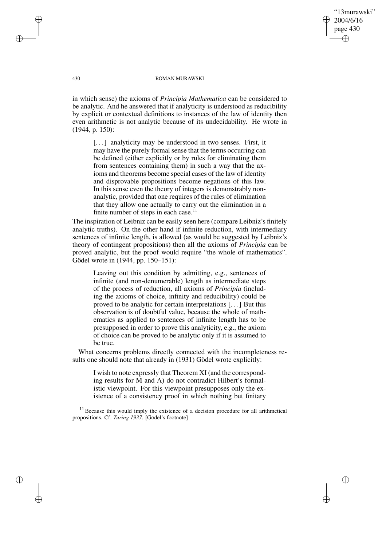"13murawski" 2004/6/16 page 430 ✐ ✐

✐

✐

#### 430 ROMAN MURAWSKI

in which sense) the axioms of *Principia Mathematica* can be considered to be analytic. And he answered that if analyticity is understood as reducibility by explicit or contextual definitions to instances of the law of identity then even arithmetic is not analytic because of its undecidability. He wrote in (1944, p. 150):

[...] analyticity may be understood in two senses. First, it may have the purely formal sense that the terms occurring can be defined (either explicitly or by rules for eliminating them from sentences containing them) in such a way that the axioms and theorems become special cases of the law of identity and disprovable propositions become negations of this law. In this sense even the theory of integers is demonstrably nonanalytic, provided that one requires of the rules of elimination that they allow one actually to carry out the elimination in a finite number of steps in each case.<sup>11</sup>

The inspiration of Leibniz can be easily seen here (compare Leibniz's finitely analytic truths). On the other hand if infinite reduction, with intermediary sentences of infinite length, is allowed (as would be suggested by Leibniz's theory of contingent propositions) then all the axioms of *Principia* can be proved analytic, but the proof would require "the whole of mathematics". Gödel wrote in (1944, pp. 150–151):

Leaving out this condition by admitting, e.g., sentences of infinite (and non-denumerable) length as intermediate steps of the process of reduction, all axioms of *Principia* (including the axioms of choice, infinity and reducibility) could be proved to be analytic for certain interpretations [. . .] But this observation is of doubtful value, because the whole of mathematics as applied to sentences of infinite length has to be presupposed in order to prove this analyticity, e.g., the axiom of choice can be proved to be analytic only if it is assumed to be true.

What concerns problems directly connected with the incompleteness results one should note that already in (1931) Gödel wrote explicitly:

I wish to note expressly that Theorem XI (and the corresponding results for M and A) do not contradict Hilbert's formalistic viewpoint. For this viewpoint presupposes only the existence of a consistency proof in which nothing but finitary

<sup>11</sup> Because this would imply the existence of a decision procedure for all arithmetical propositions. Cf. *Turing 1937*. [Gödel's footnote]

✐

✐

✐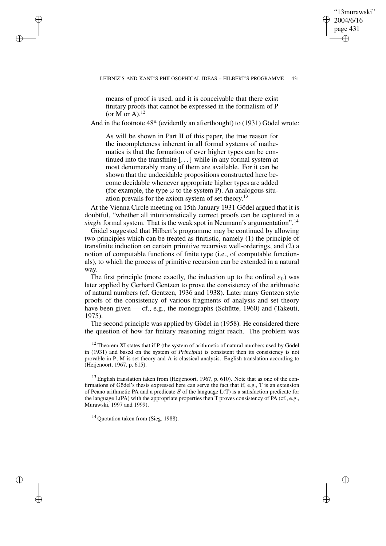"13murawski" 2004/6/16 page 431 ✐ ✐

✐

✐

✐

✐

✐

✐

means of proof is used, and it is conceivable that there exist finitary proofs that cannot be expressed in the formalism of P (or M or A). $^{12}$ 

And in the footnote  $48^a$  (evidently an afterthought) to (1931) Gödel wrote:

As will be shown in Part II of this paper, the true reason for the incompleteness inherent in all formal systems of mathematics is that the formation of ever higher types can be continued into the transfinite [. . .] while in any formal system at most denumerably many of them are available. For it can be shown that the undecidable propositions constructed here become decidable whenever appropriate higher types are added (for example, the type  $\omega$  to the system P). An analogous situation prevails for the axiom system of set theory. 13

At the Vienna Circle meeting on 15th January 1931 Gödel argued that it is doubtful, "whether all intuitionistically correct proofs can be captured in a *single* formal system. That is the weak spot in Neumann's argumentation".<sup>14</sup>

Gödel suggested that Hilbert's programme may be continued by allowing two principles which can be treated as finitistic, namely (1) the principle of transfinite induction on certain primitive recursive well-orderings, and (2) a notion of computable functions of finite type (i.e., of computable functionals), to which the process of primitive recursion can be extended in a natural way.

The first principle (more exactly, the induction up to the ordinal  $\varepsilon_0$ ) was later applied by Gerhard Gentzen to prove the consistency of the arithmetic of natural numbers (cf. Gentzen, 1936 and 1938). Later many Gentzen style proofs of the consistency of various fragments of analysis and set theory have been given — cf., e.g., the monographs (Schütte, 1960) and (Takeuti, 1975).

The second principle was applied by Gödel in (1958). He considered there the question of how far finitary reasoning might reach. The problem was

 $12$  Theorem XI states that if P (the system of arithmetic of natural numbers used by Gödel in (1931) and based on the system of *Principia*) is consistent then its consistency is not provable in P; M is set theory and A is classical analysis. English translation according to (Heijenoort, 1967, p. 615).

 $13$  English translation taken from (Heijenoort, 1967, p. 610). Note that as one of the confirmations of Gödel's thesis expressed here can serve the fact that if, e.g., T is an extension of Peano arithmetic PA and a predicate  $S$  of the language  $L(T)$  is a satisfaction predicate for the language L(PA) with the appropriate properties then T proves consistency of PA (cf., e.g., Murawski, 1997 and 1999).

 $14$  Quotation taken from (Sieg, 1988).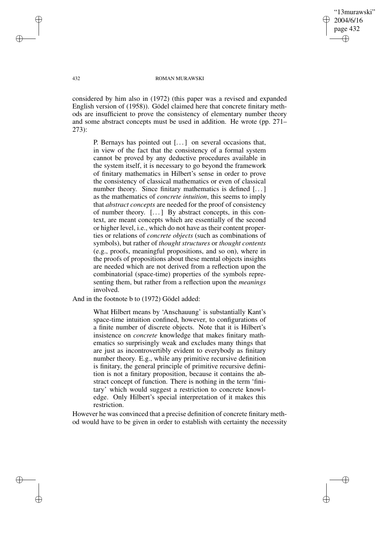"13murawski" 2004/6/16 page 432 ✐ ✐

✐

✐

#### 432 ROMAN MURAWSKI

considered by him also in (1972) (this paper was a revised and expanded English version of (1958)). Gödel claimed here that concrete finitary methods are insufficient to prove the consistency of elementary number theory and some abstract concepts must be used in addition. He wrote (pp. 271– 273):

P. Bernays has pointed out [...] on several occasions that, in view of the fact that the consistency of a formal system cannot be proved by any deductive procedures available in the system itself, it is necessary to go beyond the framework of finitary mathematics in Hilbert's sense in order to prove the consistency of classical mathematics or even of classical number theory. Since finitary mathematics is defined [...] as the mathematics of *concrete intuition*, this seems to imply that *abstract concepts* are needed for the proof of consistency of number theory. [. . .] By abstract concepts, in this context, are meant concepts which are essentially of the second or higher level, i.e., which do not have as their content properties or relations of *concrete objects* (such as combinations of symbols), but rather of *thought structures* or *thought contents* (e.g., proofs, meaningful propositions, and so on), where in the proofs of propositions about these mental objects insights are needed which are not derived from a reflection upon the combinatorial (space-time) properties of the symbols representing them, but rather from a reflection upon the *meanings* involved.

And in the footnote b to (1972) Gödel added:

What Hilbert means by 'Anschauung' is substantially Kant's space-time intuition confined, however, to configurations of a finite number of discrete objects. Note that it is Hilbert's insistence on *concrete* knowledge that makes finitary mathematics so surprisingly weak and excludes many things that are just as incontrovertibly evident to everybody as finitary number theory. E.g., while any primitive recursive definition is finitary, the general principle of primitive recursive definition is not a finitary proposition, because it contains the abstract concept of function. There is nothing in the term 'finitary' which would suggest a restriction to concrete knowledge. Only Hilbert's special interpretation of it makes this restriction.

However he was convinced that a precise definition of concrete finitary method would have to be given in order to establish with certainty the necessity

✐

✐

✐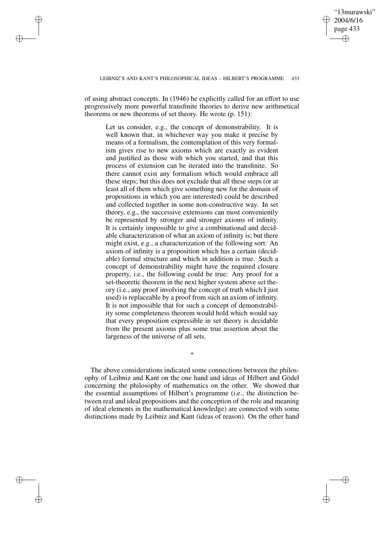"13murawski" 2004/6/16 page 433 ✐ ✐

✐

✐

of using abstract concepts. In (1946) he explicitly called for an effort to use progressively more powerful transfinite theories to derive new arithmetical theorems or new theorems of set theory. He wrote (p. 151):

✐

✐

✐

✐

Let us consider, e.g., the concept of demonstrability. It is well known that, in whichever way you make it precise by means of a formalism, the contemplation of this very formalism gives rise to new axioms which are exactly as evident and justified as those with which you started, and that this process of extension can be iterated into the transfinite. So there cannot exist any formalism which would embrace all these steps; but this does not exclude that all these steps (or at least all of them which give something new for the domain of propositions in which you are interested) could be described and collected together in some non-constructive way. In set theory, e.g., the successive extensions can most conveniently be represented by stronger and stronger axioms of infinity. It is certainly impossible to give a combinational and decidable characterization of what an axiom of infinity is; but there might exist, e.g., a characterization of the following sort: An axiom of infinity is a proposition which has a certain (decidable) formal structure and which in addition is true. Such a concept of demonstrability might have the required closure property, i.e., the following could be true: Any proof for a set-theoretic theorem in the next higher system above set theory (i.e., any proof involving the concept of truth which I just used) is replaceable by a proof from such an axiom of infinity. It is not impossible that for such a concept of demonstrability some completeness theorem would hold which would say that every proposition expressible in set theory is decidable from the present axioms plus some true assertion about the largeness of the universe of all sets.

The above considerations indicated some connections between the philosophy of Leibniz and Kant on the one hand and ideas of Hilbert and Gödel concerning the philosophy of mathematics on the other. We showed that the essential assumptions of Hilbert's programme (i.e., the distinction between real and ideal propositions and the conception of the role and meaning of ideal elements in the mathematical knowledge) are connected with some distinctions made by Leibniz and Kant (ideas of reason). On the other hand

∗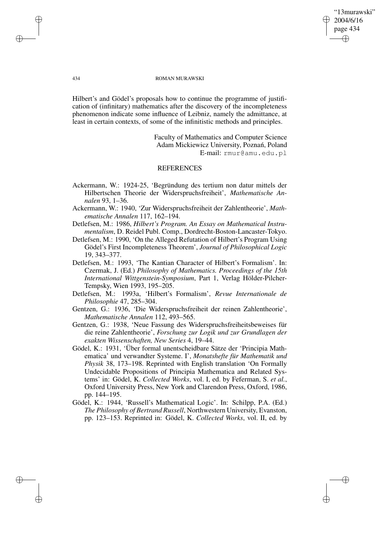"13murawski" 2004/6/16 page 434 ✐ ✐

✐

✐

#### 434 ROMAN MURAWSKI

Hilbert's and Gödel's proposals how to continue the programme of justification of (infinitary) mathematics after the discovery of the incompleteness phenomenon indicate some influence of Leibniz, namely the admittance, at least in certain contexts, of some of the infinitistic methods and principles.

> Faculty of Mathematics and Computer Science Adam Mickiewicz University, Poznań, Poland E-mail: rmur@amu.edu.pl

## REFERENCES

- Ackermann, W.: 1924-25, 'Begründung des tertium non datur mittels der Hilbertschen Theorie der Widerspruchsfreiheit', *Mathematische Annalen* 93, 1–36.
- Ackermann, W.: 1940, 'Zur Widerspruchsfreiheit der Zahlentheorie', *Mathematische Annalen* 117, 162–194.

Detlefsen, M.: 1986, *Hilbert's Program. An Essay on Mathematical Instrumentalism*, D. Reidel Publ. Comp., Dordrecht-Boston-Lancaster-Tokyo.

- Detlefsen, M.: 1990, 'On the Alleged Refutation of Hilbert's Program Using Gödel's First Incompleteness Theorem', *Journal of Philosophical Logic* 19, 343–377.
- Detlefsen, M.: 1993, 'The Kantian Character of Hilbert's Formalism'. In: Czermak, J. (Ed.) *Philosophy of Mathematics. Proceedings of the 15th International Wittgenstein-Symposium*, Part 1, Verlag Hölder-Pilcher-Tempsky, Wien 1993, 195–205.
- Detlefsen, M.: 1993a, 'Hilbert's Formalism', *Revue Internationale de Philosophie* 47, 285–304.
- Gentzen, G.: 1936, 'Die Widerspruchsfreiheit der reinen Zahlentheorie', *Mathematische Annalen* 112, 493–565.
- Gentzen, G.: 1938, 'Neue Fassung des Widerspruchsfreiheitsbeweises für die reine Zahlentheorie', *Forschung zur Logik und zur Grundlagen der exakten Wissenschaften, New Series* 4, 19–44.
- Gödel, K.: 1931, 'Über formal unentscheidbare Sätze der 'Principia Mathematica' und verwandter Systeme. I', *Monatshefte für Mathematik und Physik* 38, 173–198. Reprinted with English translation 'On Formally Undecidable Propositions of Principia Mathematica and Related Systems' in: Gödel, K. *Collected Works*, vol. I, ed. by Feferman, S. *et al.*, Oxford University Press, New York and Clarendon Press, Oxford, 1986, pp. 144–195.
- Gödel, K.: 1944, 'Russell's Mathematical Logic'. In: Schilpp, P.A. (Ed.) *The Philosophy of Bertrand Russell*, Northwestern University, Evanston, pp. 123–153. Reprinted in: Gödel, K. *Collected Works*, vol. II, ed. by

✐

✐

✐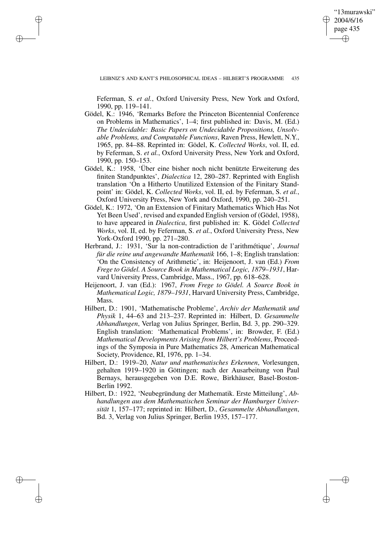"13murawski" 2004/6/16 page 435 ✐ ✐

✐

✐

✐

✐

✐

✐

Feferman, S. *et al.*, Oxford University Press, New York and Oxford, 1990, pp. 119–141.

- Gödel, K.: 1946, 'Remarks Before the Princeton Bicentennial Conference on Problems in Mathematics', 1–4; first published in: Davis, M. (Ed.) *The Undecidable: Basic Papers on Undecidable Propositions, Unsolvable Problems, and Computable Functions*, Raven Press, Hewlett, N.Y., 1965, pp. 84–88. Reprinted in: Gödel, K. *Collected Works*, vol. II, ed. by Feferman, S. *et al.*, Oxford University Press, New York and Oxford, 1990, pp. 150–153.
- Gödel, K.: 1958, 'Über eine bisher noch nicht benützte Erweiterung des finiten Standpunktes', *Dialectica* 12, 280–287. Reprinted with English translation 'On a Hitherto Unutilized Extension of the Finitary Standpoint' in: Gödel, K. *Collected Works*, vol. II, ed. by Feferman, S. *et al.*, Oxford University Press, New York and Oxford, 1990, pp. 240–251.
- Gödel, K.: 1972, 'On an Extension of Finitary Mathematics Which Has Not Yet Been Used', revised and expanded English version of (Gödel, 1958), to have appeared in *Dialectica*, first published in: K. Gödel *Collected Works*, vol. II, ed. by Feferman, S. *et al.*, Oxford University Press, New York-Oxford 1990, pp. 271–280.
- Herbrand, J.: 1931, 'Sur la non-contradiction de l'arithmétique', *Journal für die reine und angewandte Mathematik* 166, 1–8; English translation: 'On the Consistency of Arithmetic', in: Heijenoort, J. van (Ed.) *From Frege to Gödel. A Source Book in Mathematical Logic, 1879–1931*, Harvard University Press, Cambridge, Mass., 1967, pp. 618–628.
- Heijenoort, J. van (Ed.): 1967, *From Frege to Gödel. A Source Book in Mathematical Logic, 1879–1931*, Harvard University Press, Cambridge, Mass.
- Hilbert, D.: 1901, 'Mathematische Probleme', *Archiv der Mathematik und Physik* 1, 44–63 and 213–237. Reprinted in: Hilbert, D. *Gesammelte Abhandlungen*, Verlag von Julius Springer, Berlin, Bd. 3, pp. 290–329. English translation: 'Mathematical Problems', in: Browder, F. (Ed.) *Mathematical Developments Arising from Hilbert's Problems*, Proceedings of the Symposia in Pure Mathematics 28, American Mathematical Society, Providence, RI, 1976, pp. 1–34.
- Hilbert, D.: 1919–20, *Natur und mathematisches Erkennen*, Vorlesungen, gehalten 1919–1920 in Göttingen; nach der Ausarbeitung von Paul Bernays, herausgegeben von D.E. Rowe, Birkhäuser, Basel-Boston-Berlin 1992.
- Hilbert, D.: 1922, 'Neubegründung der Mathematik. Erste Mitteilung', *Abhandlungen aus dem Mathematischen Seminar der Hamburger Universität* 1, 157–177; reprinted in: Hilbert, D., *Gesammelte Abhandlungen*, Bd. 3, Verlag von Julius Springer, Berlin 1935, 157–177.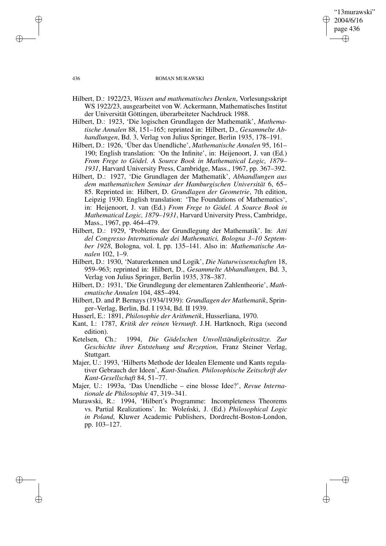# 436 ROMAN MURAWSKI

"13murawski" 2004/6/16 page 436

✐

✐

✐

✐

- Hilbert, D.: 1922/23, *Wissen und mathematisches Denken*, Vorlesungsskript WS 1922/23, ausgearbeitet von W. Ackermann, Mathematisches Institut der Universität Göttingen, überarbeiteter Nachdruck 1988.
- Hilbert, D.: 1923, 'Die logischen Grundlagen der Mathematik', *Mathematische Annalen* 88, 151–165; reprinted in: Hilbert, D., *Gesammelte Abhandlungen*, Bd. 3, Verlag von Julius Springer, Berlin 1935, 178–191.
- Hilbert, D.: 1926, 'Über das Unendliche', *Mathematische Annalen* 95, 161– 190; English translation: 'On the Infinite', in: Heijenoort, J. van (Ed.) *From Frege to Gödel. A Source Book in Mathematical Logic, 1879– 1931*, Harvard University Press, Cambridge, Mass., 1967, pp. 367–392.
- Hilbert, D.: 1927, 'Die Grundlagen der Mathematik', *Abhandlungen aus dem mathematischen Seminar der Hamburgischen Universität* 6, 65– 85. Reprinted in: Hilbert, D. *Grundlagen der Geometrie*, 7th edition, Leipzig 1930. English translation: 'The Foundations of Mathematics', in: Heijenoort, J. van (Ed.) *From Frege to Gödel. A Source Book in Mathematical Logic, 1879–1931*, Harvard University Press, Cambridge, Mass., 1967, pp. 464–479.
- Hilbert, D.: 1929, 'Problems der Grundlegung der Mathematik'. In: *Atti del Congresso Internationale dei Mathematici, Bologna 3–10 September 1928*, Bologna, vol. I, pp. 135–141. Also in: *Mathematische Annalen* 102, 1–9.
- Hilbert, D.: 1930, 'Naturerkennen und Logik', *Die Naturwissenschaften* 18, 959–963; reprinted in: Hilbert, D., *Gesammelte Abhandlungen*, Bd. 3, Verlag von Julius Springer, Berlin 1935, 378–387.
- Hilbert, D.: 1931, 'Die Grundlegung der elementaren Zahlentheorie', *Mathematische Annalen* 104, 485–494.
- Hilbert, D. and P. Bernays (1934/1939): *Grundlagen der Mathematik*, Springer–Verlag, Berlin, Bd. I 1934, Bd. II 1939.
- Husserl, E.: 1891, *Philosophie der Arithmetik*, Husserliana, 1970.
- Kant, I.: 1787, *Kritik der reinen Vernunft*. J.H. Hartknoch, Riga (second edition).
- Ketelsen, Ch.: 1994, *Die Gödelschen Unvollständigkeitssätze. Zur Geschichte ihrer Entstehung und Rezeption*, Franz Steiner Verlag, Stuttgart.
- Majer, U.: 1993, 'Hilberts Methode der Idealen Elemente und Kants regulativer Gebrauch der Ideen', *Kant-Studien. Philosophische Zeitschrift der Kant-Gesellschaft* 84, 51–77.
- Majer, U.: 1993a, 'Das Unendliche eine blosse Idee?', *Revue Internationale de Philosophie* 47, 319–341.
- Murawski, R.: 1994, 'Hilbert's Programme: Incompleteness Theorems vs. Partial Realizations'. In: Wolenski, J. (Ed.) *Philosophical Logic in Poland*, Kluwer Academic Publishers, Dordrecht-Boston-London, pp. 103–127.

✐

✐

✐